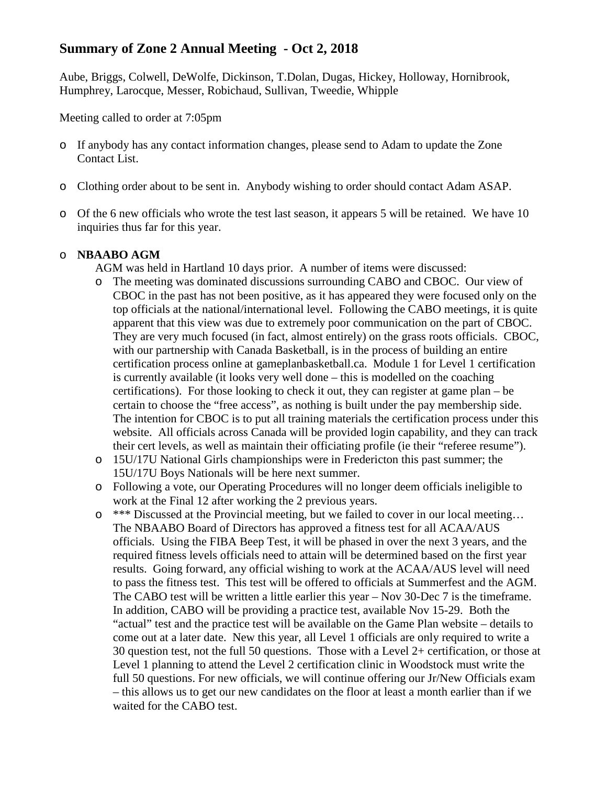# **Summary of Zone 2 Annual Meeting - Oct 2, 2018**

Aube, Briggs, Colwell, DeWolfe, Dickinson, T.Dolan, Dugas, Hickey, Holloway, Hornibrook, Humphrey, Larocque, Messer, Robichaud, Sullivan, Tweedie, Whipple

Meeting called to order at 7:05pm

- o If anybody has any contact information changes, please send to Adam to update the Zone Contact List.
- o Clothing order about to be sent in. Anybody wishing to order should contact Adam ASAP.
- o Of the 6 new officials who wrote the test last season, it appears 5 will be retained. We have 10 inquiries thus far for this year.

# o **NBAABO AGM**

AGM was held in Hartland 10 days prior. A number of items were discussed:

- o The meeting was dominated discussions surrounding CABO and CBOC. Our view of CBOC in the past has not been positive, as it has appeared they were focused only on the top officials at the national/international level. Following the CABO meetings, it is quite apparent that this view was due to extremely poor communication on the part of CBOC. They are very much focused (in fact, almost entirely) on the grass roots officials. CBOC, with our partnership with Canada Basketball, is in the process of building an entire certification process online at gameplanbasketball.ca. Module 1 for Level 1 certification is currently available (it looks very well done – this is modelled on the coaching certifications). For those looking to check it out, they can register at game plan – be certain to choose the "free access", as nothing is built under the pay membership side. The intention for CBOC is to put all training materials the certification process under this website. All officials across Canada will be provided login capability, and they can track their cert levels, as well as maintain their officiating profile (ie their "referee resume").
- o 15U/17U National Girls championships were in Fredericton this past summer; the 15U/17U Boys Nationals will be here next summer.
- o Following a vote, our Operating Procedures will no longer deem officials ineligible to work at the Final 12 after working the 2 previous years.
- $\circ$  \*\*\* Discussed at the Provincial meeting, but we failed to cover in our local meeting... The NBAABO Board of Directors has approved a fitness test for all ACAA/AUS officials. Using the FIBA Beep Test, it will be phased in over the next 3 years, and the required fitness levels officials need to attain will be determined based on the first year results. Going forward, any official wishing to work at the ACAA/AUS level will need to pass the fitness test. This test will be offered to officials at Summerfest and the AGM. The CABO test will be written a little earlier this year – Nov 30-Dec 7 is the timeframe. In addition, CABO will be providing a practice test, available Nov 15-29. Both the "actual" test and the practice test will be available on the Game Plan website – details to come out at a later date. New this year, all Level 1 officials are only required to write a 30 question test, not the full 50 questions. Those with a Level 2+ certification, or those at Level 1 planning to attend the Level 2 certification clinic in Woodstock must write the full 50 questions. For new officials, we will continue offering our Jr/New Officials exam – this allows us to get our new candidates on the floor at least a month earlier than if we waited for the CABO test.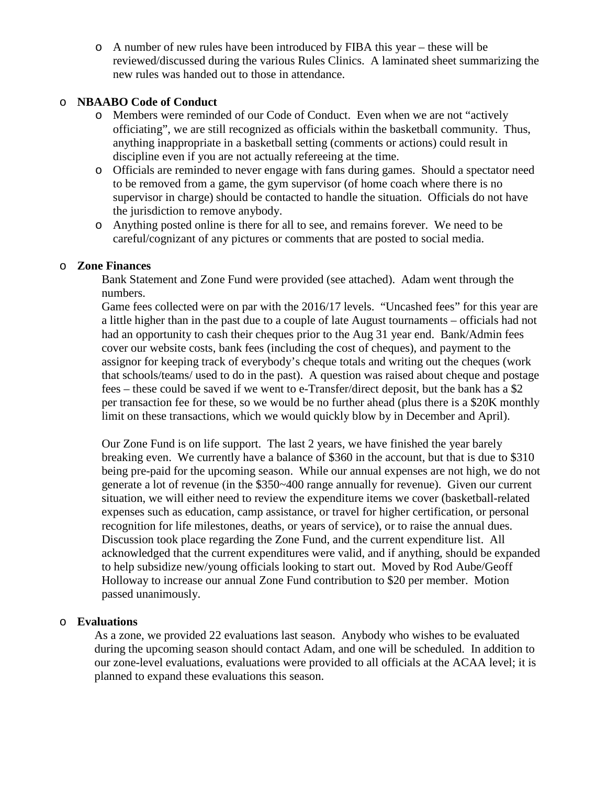o A number of new rules have been introduced by FIBA this year – these will be reviewed/discussed during the various Rules Clinics. A laminated sheet summarizing the new rules was handed out to those in attendance.

# o **NBAABO Code of Conduct**

- o Members were reminded of our Code of Conduct. Even when we are not "actively officiating", we are still recognized as officials within the basketball community. Thus, anything inappropriate in a basketball setting (comments or actions) could result in discipline even if you are not actually refereeing at the time.
- o Officials are reminded to never engage with fans during games. Should a spectator need to be removed from a game, the gym supervisor (of home coach where there is no supervisor in charge) should be contacted to handle the situation. Officials do not have the jurisdiction to remove anybody.
- o Anything posted online is there for all to see, and remains forever. We need to be careful/cognizant of any pictures or comments that are posted to social media.

# o **Zone Finances**

Bank Statement and Zone Fund were provided (see attached). Adam went through the numbers.

Game fees collected were on par with the 2016/17 levels. "Uncashed fees" for this year are a little higher than in the past due to a couple of late August tournaments – officials had not had an opportunity to cash their cheques prior to the Aug 31 year end. Bank/Admin fees cover our website costs, bank fees (including the cost of cheques), and payment to the assignor for keeping track of everybody's cheque totals and writing out the cheques (work that schools/teams/ used to do in the past). A question was raised about cheque and postage fees – these could be saved if we went to e-Transfer/direct deposit, but the bank has a \$2 per transaction fee for these, so we would be no further ahead (plus there is a \$20K monthly limit on these transactions, which we would quickly blow by in December and April).

Our Zone Fund is on life support. The last 2 years, we have finished the year barely breaking even. We currently have a balance of \$360 in the account, but that is due to \$310 being pre-paid for the upcoming season. While our annual expenses are not high, we do not generate a lot of revenue (in the \$350~400 range annually for revenue). Given our current situation, we will either need to review the expenditure items we cover (basketball-related expenses such as education, camp assistance, or travel for higher certification, or personal recognition for life milestones, deaths, or years of service), or to raise the annual dues. Discussion took place regarding the Zone Fund, and the current expenditure list. All acknowledged that the current expenditures were valid, and if anything, should be expanded to help subsidize new/young officials looking to start out. Moved by Rod Aube/Geoff Holloway to increase our annual Zone Fund contribution to \$20 per member. Motion passed unanimously.

# o **Evaluations**

As a zone, we provided 22 evaluations last season. Anybody who wishes to be evaluated during the upcoming season should contact Adam, and one will be scheduled. In addition to our zone-level evaluations, evaluations were provided to all officials at the ACAA level; it is planned to expand these evaluations this season.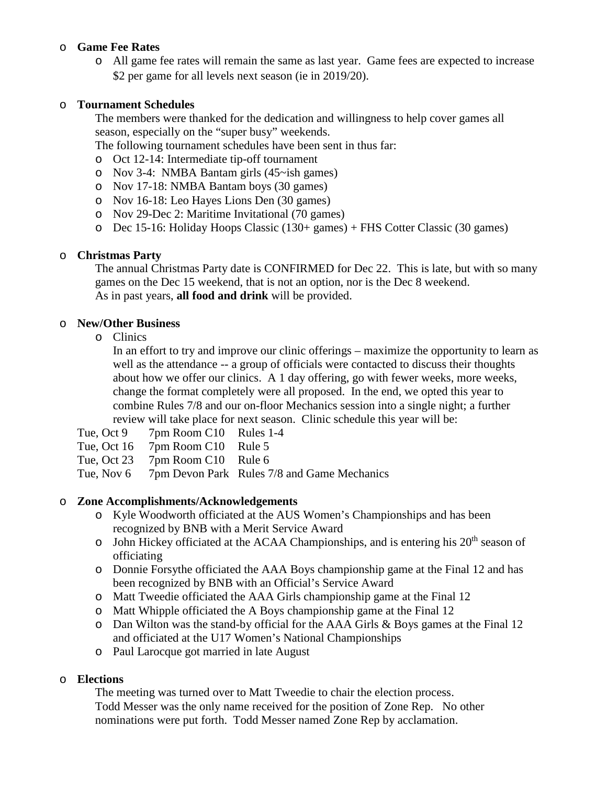# o **Game Fee Rates**

o All game fee rates will remain the same as last year. Game fees are expected to increase \$2 per game for all levels next season (ie in 2019/20).

# o **Tournament Schedules**

The members were thanked for the dedication and willingness to help cover games all season, especially on the "super busy" weekends.

The following tournament schedules have been sent in thus far:

- o Oct 12-14: Intermediate tip-off tournament
- o Nov 3-4: NMBA Bantam girls (45~ish games)
- o Nov 17-18: NMBA Bantam boys (30 games)
- o Nov 16-18: Leo Hayes Lions Den (30 games)
- o Nov 29-Dec 2: Maritime Invitational (70 games)
- o Dec 15-16: Holiday Hoops Classic (130+ games) + FHS Cotter Classic (30 games)

# o **Christmas Party**

The annual Christmas Party date is CONFIRMED for Dec 22. This is late, but with so many games on the Dec 15 weekend, that is not an option, nor is the Dec 8 weekend. As in past years, **all food and drink** will be provided.

# o **New/Other Business**

o Clinics

In an effort to try and improve our clinic offerings – maximize the opportunity to learn as well as the attendance -- a group of officials were contacted to discuss their thoughts about how we offer our clinics. A 1 day offering, go with fewer weeks, more weeks, change the format completely were all proposed. In the end, we opted this year to combine Rules 7/8 and our on-floor Mechanics session into a single night; a further review will take place for next season. Clinic schedule this year will be:

- Tue, Oct 9 7pm Room C10 Rules 1-4
- Tue, Oct 16 7pm Room C10 Rule 5
- Tue, Oct 23 7pm Room C10 Rule 6

Tue, Nov 6 7pm Devon Park Rules 7/8 and Game Mechanics

# o **Zone Accomplishments/Acknowledgements**

- o Kyle Woodworth officiated at the AUS Women's Championships and has been recognized by BNB with a Merit Service Award
- o John Hickey officiated at the ACAA Championships, and is entering his 20<sup>th</sup> season of officiating
- o Donnie Forsythe officiated the AAA Boys championship game at the Final 12 and has been recognized by BNB with an Official's Service Award
- o Matt Tweedie officiated the AAA Girls championship game at the Final 12
- o Matt Whipple officiated the A Boys championship game at the Final 12
- o Dan Wilton was the stand-by official for the AAA Girls & Boys games at the Final 12 and officiated at the U17 Women's National Championships
- o Paul Larocque got married in late August

# o **Elections**

The meeting was turned over to Matt Tweedie to chair the election process. Todd Messer was the only name received for the position of Zone Rep. No other nominations were put forth. Todd Messer named Zone Rep by acclamation.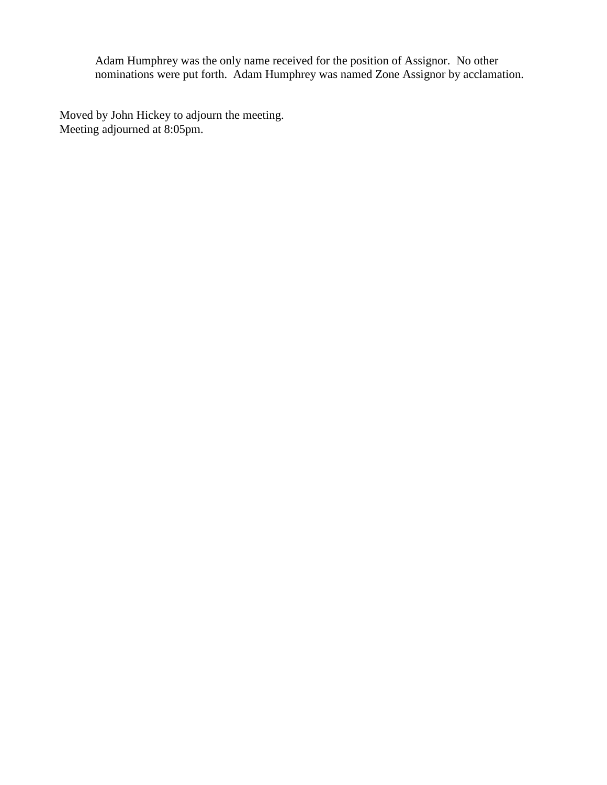Adam Humphrey was the only name received for the position of Assignor. No other nominations were put forth. Adam Humphrey was named Zone Assignor by acclamation.

Moved by John Hickey to adjourn the meeting. Meeting adjourned at 8:05pm.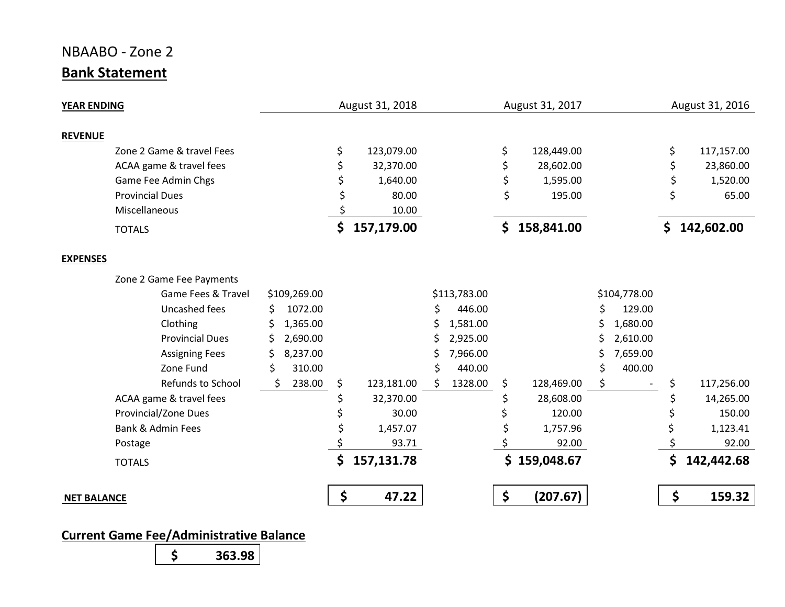# NBAABO - Zone 2 **Bank Statement**

| <b>YEAR ENDING</b>           |                |    | August 31, 2018 | August 31, 2017 |              |    |              | August 31, 2016 |              |    |            |
|------------------------------|----------------|----|-----------------|-----------------|--------------|----|--------------|-----------------|--------------|----|------------|
| <b>REVENUE</b>               |                |    |                 |                 |              |    |              |                 |              |    |            |
| Zone 2 Game & travel Fees    |                | \$ | 123,079.00      |                 |              | \$ | 128,449.00   |                 |              | \$ | 117,157.00 |
| ACAA game & travel fees      |                | \$ | 32,370.00       |                 |              | \$ | 28,602.00    |                 |              | \$ | 23,860.00  |
| Game Fee Admin Chgs          |                |    | 1,640.00        |                 |              | \$ | 1,595.00     |                 |              |    | 1,520.00   |
| <b>Provincial Dues</b>       |                |    | 80.00           |                 |              | \$ | 195.00       |                 |              | \$ | 65.00      |
| Miscellaneous                |                |    | 10.00           |                 |              |    |              |                 |              |    |            |
| <b>TOTALS</b>                |                | \$ | 157,179.00      |                 |              |    | \$158,841.00 |                 |              | \$ | 142,602.00 |
| <b>EXPENSES</b>              |                |    |                 |                 |              |    |              |                 |              |    |            |
| Zone 2 Game Fee Payments     |                |    |                 |                 |              |    |              |                 |              |    |            |
| Game Fees & Travel           | \$109,269.00   |    |                 |                 | \$113,783.00 |    |              |                 | \$104,778.00 |    |            |
| Uncashed fees                | 1072.00<br>Ś   |    |                 | \$              | 446.00       |    |              | \$              | 129.00       |    |            |
| Clothing                     | 1,365.00<br>\$ |    |                 |                 | 1,581.00     |    |              |                 | 1,680.00     |    |            |
| <b>Provincial Dues</b>       | 2,690.00       |    |                 |                 | 2,925.00     |    |              |                 | 2,610.00     |    |            |
| <b>Assigning Fees</b>        | 8,237.00       |    |                 |                 | 7,966.00     |    |              |                 | 7,659.00     |    |            |
| Zone Fund                    | \$<br>310.00   |    |                 |                 | 440.00       |    |              |                 | 400.00       |    |            |
| Refunds to School            | 238.00<br>Ś    | \$ | 123,181.00      |                 | 1328.00      | \$ | 128,469.00   |                 |              |    | 117,256.00 |
| ACAA game & travel fees      |                |    | 32,370.00       |                 |              |    | 28,608.00    |                 |              |    | 14,265.00  |
| Provincial/Zone Dues         |                |    | 30.00           |                 |              |    | 120.00       |                 |              |    | 150.00     |
| <b>Bank &amp; Admin Fees</b> |                |    | 1,457.07        |                 |              |    | 1,757.96     |                 |              |    | 1,123.41   |
| Postage                      |                |    | 93.71           |                 |              |    | 92.00        |                 |              |    | 92.00      |
| <b>TOTALS</b>                |                | \$ | 157,131.78      |                 |              |    | \$159,048.67 |                 |              | \$ | 142,442.68 |
| <b>NET BALANCE</b>           |                | \$ | 47.22           |                 |              | \$ | (207.67)     |                 |              | \$ | 159.32     |

# **Current Game Fee/Administrative Balance**

**\$ 363.98**